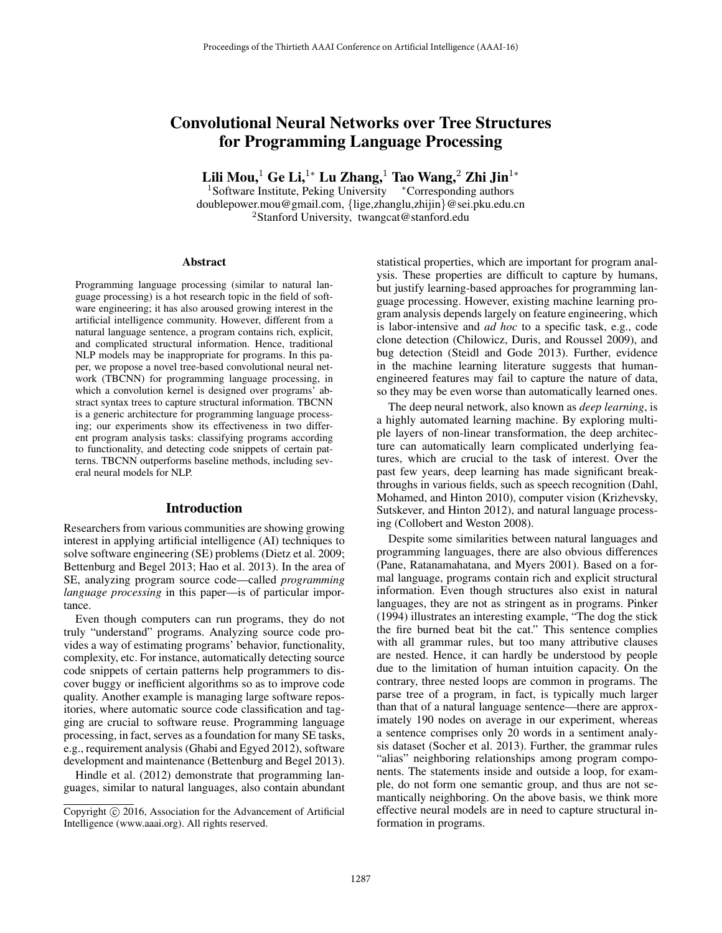# Convolutional Neural Networks over Tree Structures for Programming Language Processing

Lili Mou,<sup>1</sup> Ge Li,<sup>1</sup>\* Lu Zhang,<sup>1</sup> Tao Wang,<sup>2</sup> Zhi Jin<sup>1</sup>\*

<sup>1</sup>Software Institute, Peking University \*Corresponding authors doublepower.mou@gmail.com, {lige,zhanglu,zhijin}@sei.pku.edu.cn <sup>2</sup>Stanford University, twangcat@stanford.edu

#### Abstract

Programming language processing (similar to natural language processing) is a hot research topic in the field of software engineering; it has also aroused growing interest in the artificial intelligence community. However, different from a natural language sentence, a program contains rich, explicit, and complicated structural information. Hence, traditional NLP models may be inappropriate for programs. In this paper, we propose a novel tree-based convolutional neural network (TBCNN) for programming language processing, in which a convolution kernel is designed over programs' abstract syntax trees to capture structural information. TBCNN is a generic architecture for programming language processing; our experiments show its effectiveness in two different program analysis tasks: classifying programs according to functionality, and detecting code snippets of certain patterns. TBCNN outperforms baseline methods, including several neural models for NLP.

# Introduction

Researchers from various communities are showing growing interest in applying artificial intelligence (AI) techniques to solve software engineering (SE) problems (Dietz et al. 2009; Bettenburg and Begel 2013; Hao et al. 2013). In the area of SE, analyzing program source code—called *programming language processing* in this paper—is of particular importance.

Even though computers can run programs, they do not truly "understand" programs. Analyzing source code provides a way of estimating programs' behavior, functionality, complexity, etc. For instance, automatically detecting source code snippets of certain patterns help programmers to discover buggy or inefficient algorithms so as to improve code quality. Another example is managing large software repositories, where automatic source code classification and tagging are crucial to software reuse. Programming language processing, in fact, serves as a foundation for many SE tasks, e.g., requirement analysis (Ghabi and Egyed 2012), software development and maintenance (Bettenburg and Begel 2013).

Hindle et al. (2012) demonstrate that programming languages, similar to natural languages, also contain abundant statistical properties, which are important for program analysis. These properties are difficult to capture by humans, but justify learning-based approaches for programming language processing. However, existing machine learning program analysis depends largely on feature engineering, which is labor-intensive and *ad hoc* to a specific task, e.g., code clone detection (Chilowicz, Duris, and Roussel 2009), and bug detection (Steidl and Gode 2013). Further, evidence in the machine learning literature suggests that humanengineered features may fail to capture the nature of data, so they may be even worse than automatically learned ones.

The deep neural network, also known as *deep learning*, is a highly automated learning machine. By exploring multiple layers of non-linear transformation, the deep architecture can automatically learn complicated underlying features, which are crucial to the task of interest. Over the past few years, deep learning has made significant breakthroughs in various fields, such as speech recognition (Dahl, Mohamed, and Hinton 2010), computer vision (Krizhevsky, Sutskever, and Hinton 2012), and natural language processing (Collobert and Weston 2008).

Despite some similarities between natural languages and programming languages, there are also obvious differences (Pane, Ratanamahatana, and Myers 2001). Based on a formal language, programs contain rich and explicit structural information. Even though structures also exist in natural languages, they are not as stringent as in programs. Pinker (1994) illustrates an interesting example, "The dog the stick the fire burned beat bit the cat." This sentence complies with all grammar rules, but too many attributive clauses are nested. Hence, it can hardly be understood by people due to the limitation of human intuition capacity. On the contrary, three nested loops are common in programs. The parse tree of a program, in fact, is typically much larger than that of a natural language sentence—there are approximately 190 nodes on average in our experiment, whereas a sentence comprises only 20 words in a sentiment analysis dataset (Socher et al. 2013). Further, the grammar rules "alias" neighboring relationships among program components. The statements inside and outside a loop, for example, do not form one semantic group, and thus are not semantically neighboring. On the above basis, we think more effective neural models are in need to capture structural information in programs.

Copyright  $\odot$  2016, Association for the Advancement of Artificial Intelligence (www.aaai.org). All rights reserved.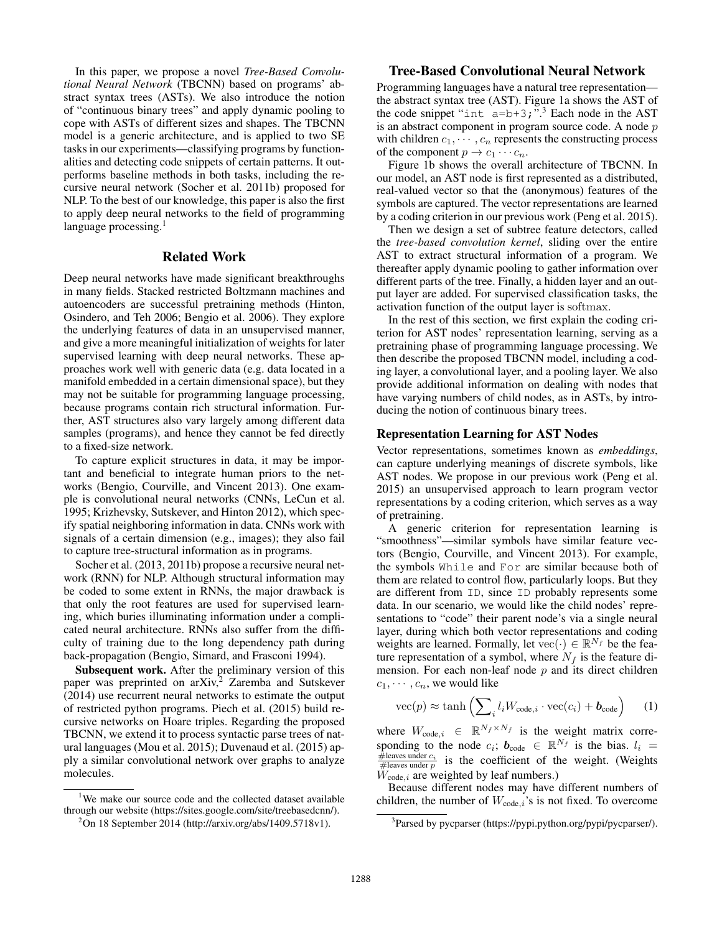In this paper, we propose a novel *Tree-Based Convolutional Neural Network* (TBCNN) based on programs' abstract syntax trees (ASTs). We also introduce the notion of "continuous binary trees" and apply dynamic pooling to cope with ASTs of different sizes and shapes. The TBCNN model is a generic architecture, and is applied to two SE tasks in our experiments—classifying programs by functionalities and detecting code snippets of certain patterns. It outperforms baseline methods in both tasks, including the recursive neural network (Socher et al. 2011b) proposed for NLP. To the best of our knowledge, this paper is also the first to apply deep neural networks to the field of programming language processing. $<sup>1</sup>$ </sup>

### Related Work

Deep neural networks have made significant breakthroughs in many fields. Stacked restricted Boltzmann machines and autoencoders are successful pretraining methods (Hinton, Osindero, and Teh 2006; Bengio et al. 2006). They explore the underlying features of data in an unsupervised manner, and give a more meaningful initialization of weights for later supervised learning with deep neural networks. These approaches work well with generic data (e.g. data located in a manifold embedded in a certain dimensional space), but they may not be suitable for programming language processing, because programs contain rich structural information. Further, AST structures also vary largely among different data samples (programs), and hence they cannot be fed directly to a fixed-size network.

To capture explicit structures in data, it may be important and beneficial to integrate human priors to the networks (Bengio, Courville, and Vincent 2013). One example is convolutional neural networks (CNNs, LeCun et al. 1995; Krizhevsky, Sutskever, and Hinton 2012), which specify spatial neighboring information in data. CNNs work with signals of a certain dimension (e.g., images); they also fail to capture tree-structural information as in programs.

Socher et al. (2013, 2011b) propose a recursive neural network (RNN) for NLP. Although structural information may be coded to some extent in RNNs, the major drawback is that only the root features are used for supervised learning, which buries illuminating information under a complicated neural architecture. RNNs also suffer from the difficulty of training due to the long dependency path during back-propagation (Bengio, Simard, and Frasconi 1994).

Subsequent work. After the preliminary version of this paper was preprinted on arXiv,<sup>2</sup> Zaremba and Sutskever (2014) use recurrent neural networks to estimate the output of restricted python programs. Piech et al. (2015) build recursive networks on Hoare triples. Regarding the proposed TBCNN, we extend it to process syntactic parse trees of natural languages (Mou et al. 2015); Duvenaud et al. (2015) apply a similar convolutional network over graphs to analyze molecules.

<sup>1</sup>We make our source code and the collected dataset available through our website (https://sites.google.com/site/treebasedcnn/).

## Tree-Based Convolutional Neural Network

Programming languages have a natural tree representation the abstract syntax tree (AST). Figure 1a shows the AST of the code snippet "int  $a=b+3$ ;"<sup>3</sup>. Each node in the AST is an abstract component in program source code. A node  $p$ with children  $c_1, \dots, c_n$  represents the constructing process of the component  $p \to c_1 \cdots c_n$ .

Figure 1b shows the overall architecture of TBCNN. In our model, an AST node is first represented as a distributed, real-valued vector so that the (anonymous) features of the symbols are captured. The vector representations are learned by a coding criterion in our previous work (Peng et al. 2015).

Then we design a set of subtree feature detectors, called the *tree-based convolution kernel*, sliding over the entire AST to extract structural information of a program. We thereafter apply dynamic pooling to gather information over different parts of the tree. Finally, a hidden layer and an output layer are added. For supervised classification tasks, the activation function of the output layer is softmax.

In the rest of this section, we first explain the coding criterion for AST nodes' representation learning, serving as a pretraining phase of programming language processing. We then describe the proposed TBCNN model, including a coding layer, a convolutional layer, and a pooling layer. We also provide additional information on dealing with nodes that have varying numbers of child nodes, as in ASTs, by introducing the notion of continuous binary trees.

### Representation Learning for AST Nodes

Vector representations, sometimes known as *embeddings*, can capture underlying meanings of discrete symbols, like AST nodes. We propose in our previous work (Peng et al. 2015) an unsupervised approach to learn program vector representations by a coding criterion, which serves as a way of pretraining.

A generic criterion for representation learning is "smoothness"—similar symbols have similar feature vectors (Bengio, Courville, and Vincent 2013). For example, the symbols While and For are similar because both of them are related to control flow, particularly loops. But they are different from ID, since ID probably represents some data. In our scenario, we would like the child nodes' representations to "code" their parent node's via a single neural layer, during which both vector representations and coding weights are learned. Formally, let  $\text{vec}(\cdot) \in \mathbb{R}^{N_f}$  be the feature representation of a symbol, where  $N_f$  is the feature dimension. For each non-leaf node  $p$  and its direct children  $c_1, \dots, c_n$ , we would like

$$
\text{vec}(p) \approx \tanh\left(\sum_{i} l_{i} W_{\text{code},i} \cdot \text{vec}(c_{i}) + \boldsymbol{b}_{\text{code}}\right) \tag{1}
$$

where  $W_{code,i} \in \mathbb{R}^{N_f \times N_f}$  is the weight matrix corresponding to the node  $c_i$ ;  $b_{code} \in \mathbb{R}^{N_f}$  is the bias.  $l_i =$  $\frac{\text{theaves under } c_i}{\text{the cases under } p}$  is the coefficient of the weight. (Weights  $W_{code,i}$  are weighted by leaf numbers.)

Because different nodes may have different numbers of children, the number of  $W_{code,i}$ 's is not fixed. To overcome

<sup>2</sup> On 18 September 2014 (http://arxiv.org/abs/1409.5718v1).

<sup>&</sup>lt;sup>3</sup>Parsed by pycparser (https://pypi.python.org/pypi/pycparser/).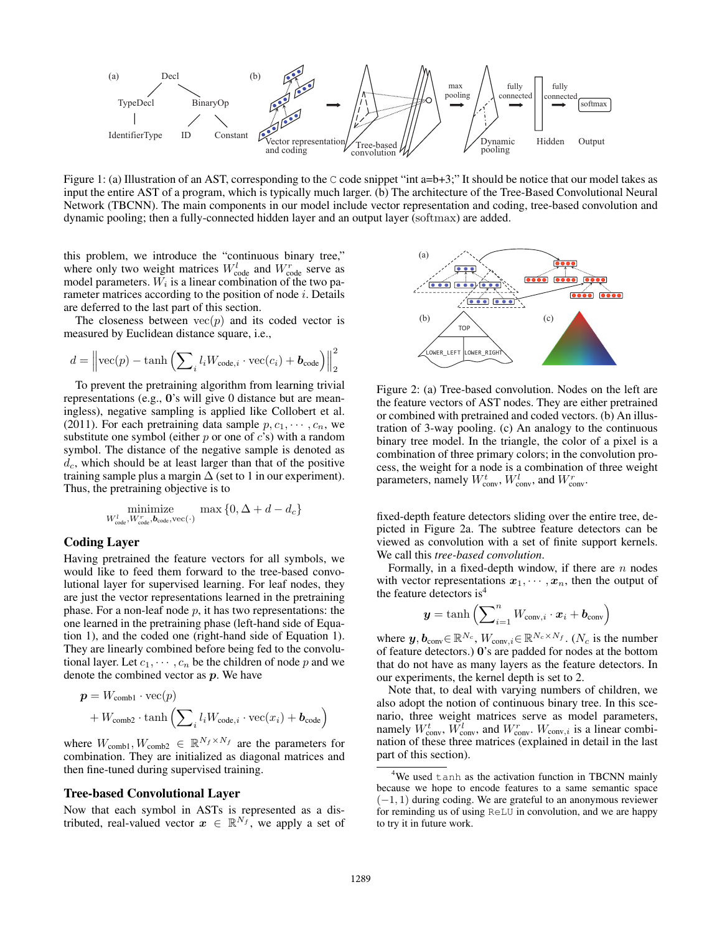

Figure 1: (a) Illustration of an AST, corresponding to the C code snippet "int a=b+3;" It should be notice that our model takes as input the entire AST of a program, which is typically much larger. (b) The architecture of the Tree-Based Convolutional Neural Network (TBCNN). The main components in our model include vector representation and coding, tree-based convolution and dynamic pooling; then a fully-connected hidden layer and an output layer (softmax) are added.

this problem, we introduce the "continuous binary tree," where only two weight matrices  $W_{\text{code}}^l$  and  $W_{\text{code}}^r$  serve as model parameters.  $W_i$  is a linear combination of the two parameter matrices according to the position of node  $i$ . Details are deferred to the last part of this section.

The closeness between  $vec(p)$  and its coded vector is measured by Euclidean distance square, i.e.,

$$
d = \left\| \text{vec}(p) - \tanh\left(\sum_i l_i W_{\text{code},i} \cdot \text{vec}(c_i) + \boldsymbol{b}_{\text{code}}\right) \right\|_2^2
$$

To prevent the pretraining algorithm from learning trivial representations (e.g., **0**'s will give 0 distance but are meaningless), negative sampling is applied like Collobert et al. (2011). For each pretraining data sample  $p, c_1, \dots, c_n$ , we substitute one symbol (either  $p$  or one of  $c$ 's) with a random symbol. The distance of the negative sample is denoted as  $d_c$ , which should be at least larger than that of the positive training sample plus a margin  $\Delta$  (set to 1 in our experiment). Thus, the pretraining objective is to

$$
\underset{W_{\text{code}}^{l}, W_{\text{code}}^{r}, \text{b}_{\text{code}}, \text{vec}(\cdot)}{\text{minimize}} \max \left\{0, \Delta+d-d_c\right\}
$$

### Coding Layer

Having pretrained the feature vectors for all symbols, we would like to feed them forward to the tree-based convolutional layer for supervised learning. For leaf nodes, they are just the vector representations learned in the pretraining phase. For a non-leaf node  $p$ , it has two representations: the one learned in the pretraining phase (left-hand side of Equation 1), and the coded one (right-hand side of Equation 1). They are linearly combined before being fed to the convolutional layer. Let  $c_1, \dots, c_n$  be the children of node p and we denote the combined vector as *p*. We have

$$
\mathbf{p} = W_{\text{comb1}} \cdot \text{vec}(p) + W_{\text{comb2}} \cdot \tanh\left(\sum_{i} l_i W_{\text{code}, i} \cdot \text{vec}(x_i) + \mathbf{b}_{\text{code}}\right)
$$

where  $W_{\text{comb1}}$ ,  $W_{\text{comb2}} \in \mathbb{R}^{N_f \times N_f}$  are the parameters for combination. They are initialized as diagonal matrices and then fine-tuned during supervised training.

#### Tree-based Convolutional Layer

Now that each symbol in ASTs is represented as a distributed, real-valued vector  $x \in \mathbb{R}^{N_f}$ , we apply a set of



Figure 2: (a) Tree-based convolution. Nodes on the left are the feature vectors of AST nodes. They are either pretrained or combined with pretrained and coded vectors. (b) An illustration of 3-way pooling. (c) An analogy to the continuous binary tree model. In the triangle, the color of a pixel is a combination of three primary colors; in the convolution process, the weight for a node is a combination of three weight parameters, namely  $W_{\text{conv}}^t$ ,  $W_{\text{conv}}^l$ , and  $W_{\text{conv}}^r$ .

fixed-depth feature detectors sliding over the entire tree, depicted in Figure 2a. The subtree feature detectors can be viewed as convolution with a set of finite support kernels. We call this *tree-based convolution*.

Formally, in a fixed-depth window, if there are  $n$  nodes with vector representations  $x_1, \dots, x_n$ , then the output of the feature detectors is<sup>4</sup>

$$
\boldsymbol{y} = \tanh\left(\sum\nolimits_{i=1}^n W_{\text{conv},i} \cdot \boldsymbol{x}_i + \boldsymbol{b}_{\text{conv}}\right)
$$

where  $y, b_{\text{conv}} \in \mathbb{R}^{N_c}$ ,  $W_{\text{conv},i} \in \mathbb{R}^{N_c \times N_f}$ . ( $N_c$  is the number of feature detectors.) **0**'s are padded for nodes at the bottom that do not have as many layers as the feature detectors. In our experiments, the kernel depth is set to 2.

Note that, to deal with varying numbers of children, we also adopt the notion of continuous binary tree. In this scenario, three weight matrices serve as model parameters, namely  $W_{\text{conv}}^t$ ,  $W_{\text{conv}}^l$ , and  $W_{\text{conv}}^r$ .  $W_{\text{conv},i}$  is a linear combination of these three matrices (explained in detail in the last part of this section).

<sup>&</sup>lt;sup>4</sup>We used tanh as the activation function in TBCNN mainly because we hope to encode features to a same semantic space  $(-1, 1)$  during coding. We are grateful to an anonymous reviewer for reminding us of using ReLU in convolution, and we are happy to try it in future work.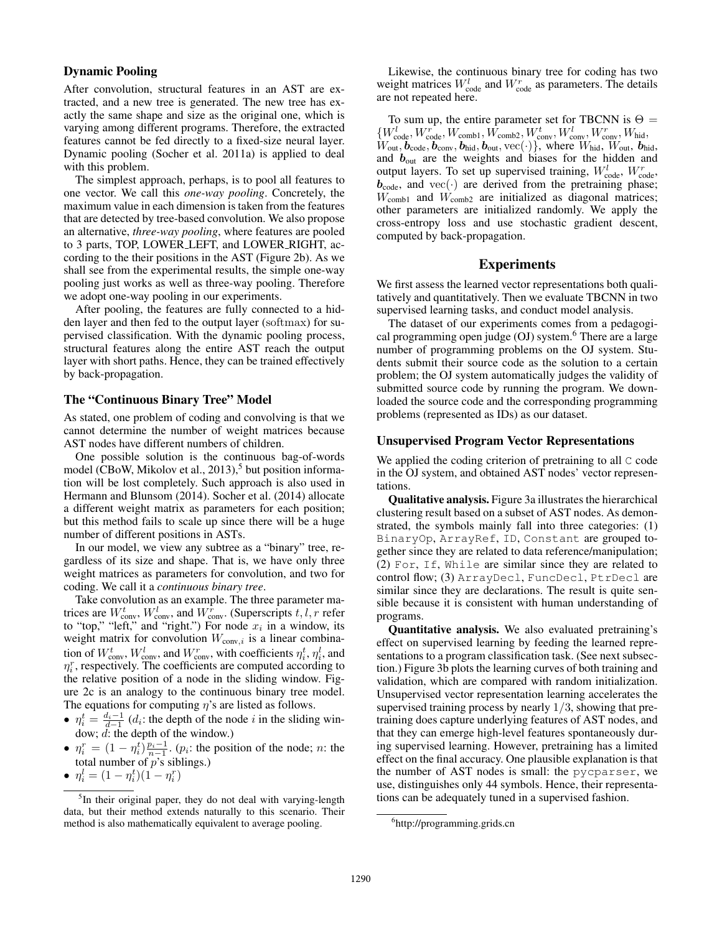# Dynamic Pooling

After convolution, structural features in an AST are extracted, and a new tree is generated. The new tree has exactly the same shape and size as the original one, which is varying among different programs. Therefore, the extracted features cannot be fed directly to a fixed-size neural layer. Dynamic pooling (Socher et al. 2011a) is applied to deal with this problem.

The simplest approach, perhaps, is to pool all features to one vector. We call this *one-way pooling*. Concretely, the maximum value in each dimension is taken from the features that are detected by tree-based convolution. We also propose an alternative, *three-way pooling*, where features are pooled to 3 parts, TOP, LOWER LEFT, and LOWER RIGHT, according to the their positions in the AST (Figure 2b). As we shall see from the experimental results, the simple one-way pooling just works as well as three-way pooling. Therefore we adopt one-way pooling in our experiments.

After pooling, the features are fully connected to a hidden layer and then fed to the output layer (softmax) for supervised classification. With the dynamic pooling process, structural features along the entire AST reach the output layer with short paths. Hence, they can be trained effectively by back-propagation.

#### The "Continuous Binary Tree" Model

As stated, one problem of coding and convolving is that we cannot determine the number of weight matrices because AST nodes have different numbers of children.

One possible solution is the continuous bag-of-words model (CBoW, Mikolov et al.,  $2013$ ),<sup>5</sup> but position information will be lost completely. Such approach is also used in Hermann and Blunsom (2014). Socher et al. (2014) allocate a different weight matrix as parameters for each position; but this method fails to scale up since there will be a huge number of different positions in ASTs.

In our model, we view any subtree as a "binary" tree, regardless of its size and shape. That is, we have only three weight matrices as parameters for convolution, and two for coding. We call it a *continuous binary tree*.

Take convolution as an example. The three parameter matrices are  $W_{\text{conv}}^t$ ,  $W_{\text{conv}}^l$ , and  $W_{\text{conv}}^r$ . (Superscripts  $t, l, r$  refer to "top," "left," and "right.") For node  $x_i$  in a window, its weight matrix for convolution  $W_{\text{conv},i}$  is a linear combination of  $W_{\text{conv}}^t$ ,  $W_{\text{conv}}^l$ , and  $W_{\text{conv}}^r$ , with coefficients  $\eta_i^t$ ,  $\eta_i^l$ , and  $\eta_i^r$ , respectively. The coefficients are computed according to the relative position of a node in the sliding window. Figure 2c is an analogy to the continuous binary tree model. The equations for computing  $\eta$ 's are listed as follows.

- $\eta_i^t = \frac{d_i 1}{d_i 1}$  (d<sub>i</sub>: the depth of the node i in the sliding window; d: the depth of the window.)
- $\eta_i^r = (1 \eta_i^t) \frac{p_i 1}{n_i 1}$ . (*p<sub>i</sub>*: the position of the node; *n*: the total number of  $p$ 's siblings.)
- $\eta_i^l = (1 \eta_i^t)(1 \eta_i^r)$

Likewise, the continuous binary tree for coding has two weight matrices  $W_{\text{code}}^l$  and  $W_{\text{code}}^r$  as parameters. The details are not repeated here.

To sum up, the entire parameter set for TBCNN is  $\Theta =$  ${W_{\text{code}}^l, W_{\text{code}}^r, W_{\text{comb1}}, W_{\text{comb2}}^t, W_{\text{conv}}^t, W_{\text{conv}}^l, W_{\text{conv}}^r, W_{\text{hid}}^r, W_{\text{code}}^r}$  $W_{\text{out}}$ ,  $\vec{b}_{\text{code}}$ ,  $\vec{b}_{\text{conv}}$ ,  $\vec{b}_{\text{hid}}$ ,  $\vec{b}_{\text{out}}$ ,  $\text{vec}$  (·)}, where  $W_{\text{hid}}$ ,  $W_{\text{out}}$ ,  $\vec{b}_{\text{hid}}$ , and  $b_{\text{out}}$  are the weights and biases for the hidden and output layers. To set up supervised training,  $W_{code}^l$ ,  $W_{code}^r$ ,  $b_{code}$ , and vec( $\cdot$ ) are derived from the pretraining phase;  $W_{\text{comb1}}$  and  $W_{\text{comb2}}$  are initialized as diagonal matrices; other parameters are initialized randomly. We apply the cross-entropy loss and use stochastic gradient descent, computed by back-propagation.

# Experiments

We first assess the learned vector representations both qualitatively and quantitatively. Then we evaluate TBCNN in two supervised learning tasks, and conduct model analysis.

The dataset of our experiments comes from a pedagogical programming open judge  $(OJ)$  system.<sup>6</sup> There are a large number of programming problems on the OJ system. Students submit their source code as the solution to a certain problem; the OJ system automatically judges the validity of submitted source code by running the program. We downloaded the source code and the corresponding programming problems (represented as IDs) as our dataset.

#### Unsupervised Program Vector Representations

We applied the coding criterion of pretraining to all C code in the OJ system, and obtained AST nodes' vector representations.

Qualitative analysis. Figure 3a illustrates the hierarchical clustering result based on a subset of AST nodes. As demonstrated, the symbols mainly fall into three categories: (1) BinaryOp, ArrayRef, ID, Constant are grouped together since they are related to data reference/manipulation; (2) For, If, While are similar since they are related to control flow; (3) ArrayDecl, FuncDecl, PtrDecl are similar since they are declarations. The result is quite sensible because it is consistent with human understanding of programs.

Quantitative analysis. We also evaluated pretraining's effect on supervised learning by feeding the learned representations to a program classification task. (See next subsection.) Figure 3b plots the learning curves of both training and validation, which are compared with random initialization. Unsupervised vector representation learning accelerates the supervised training process by nearly  $1/3$ , showing that pretraining does capture underlying features of AST nodes, and that they can emerge high-level features spontaneously during supervised learning. However, pretraining has a limited effect on the final accuracy. One plausible explanation is that the number of AST nodes is small: the pycparser, we use, distinguishes only 44 symbols. Hence, their representations can be adequately tuned in a supervised fashion.

<sup>&</sup>lt;sup>5</sup>In their original paper, they do not deal with varying-length data, but their method extends naturally to this scenario. Their method is also mathematically equivalent to average pooling.

<sup>6</sup> http://programming.grids.cn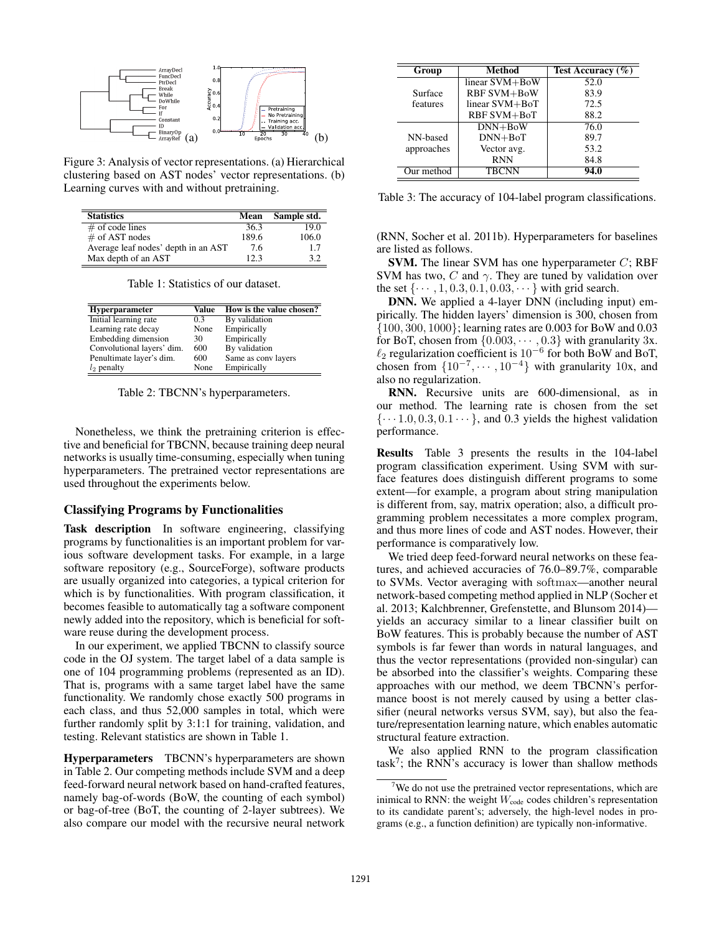

Figure 3: Analysis of vector representations. (a) Hierarchical clustering based on AST nodes' vector representations. (b) Learning curves with and without pretraining.

| <b>Statistics</b>                   | Mean  | Sample std. |
|-------------------------------------|-------|-------------|
| $#$ of code lines                   | 36.3  | 19.0        |
| $\#$ of AST nodes                   | 189.6 | 106.0       |
| Average leaf nodes' depth in an AST | 7.6   | 1.7         |
| Max depth of an AST                 | 12 3  | 32          |

Table 1: Statistics of our dataset.

| <b>Hyperparameter</b>      | Value | How is the value chosen? |
|----------------------------|-------|--------------------------|
| Initial learning rate      | 0.3   | By validation            |
| Learning rate decay        | None  | Empirically              |
| Embedding dimension        | 30    | Empirically              |
| Convolutional layers' dim. | 600   | By validation            |
| Penultimate layer's dim.   | 600   | Same as conv layers      |
| $l_2$ penalty              | None  | Empirically              |
|                            |       |                          |

Table 2: TBCNN's hyperparameters.

Nonetheless, we think the pretraining criterion is effective and beneficial for TBCNN, because training deep neural networks is usually time-consuming, especially when tuning hyperparameters. The pretrained vector representations are used throughout the experiments below.

# Classifying Programs by Functionalities

Task description In software engineering, classifying programs by functionalities is an important problem for various software development tasks. For example, in a large software repository (e.g., SourceForge), software products are usually organized into categories, a typical criterion for which is by functionalities. With program classification, it becomes feasible to automatically tag a software component newly added into the repository, which is beneficial for software reuse during the development process.

In our experiment, we applied TBCNN to classify source code in the OJ system. The target label of a data sample is one of 104 programming problems (represented as an ID). That is, programs with a same target label have the same functionality. We randomly chose exactly 500 programs in each class, and thus 52,000 samples in total, which were further randomly split by 3:1:1 for training, validation, and testing. Relevant statistics are shown in Table 1.

Hyperparameters TBCNN's hyperparameters are shown in Table 2. Our competing methods include SVM and a deep feed-forward neural network based on hand-crafted features, namely bag-of-words (BoW, the counting of each symbol) or bag-of-tree (BoT, the counting of 2-layer subtrees). We also compare our model with the recursive neural network

| Group      | Method             | Test Accuracy $(\% )$ |
|------------|--------------------|-----------------------|
|            | linear SVM+BoW     | 52.0                  |
| Surface    | <b>RBF SVM+BoW</b> | 83.9                  |
| features   | linear SVM+BoT     | 72.5                  |
|            | RBF SVM+BoT        | 88.2                  |
|            | $DNN+BoW$          | 76.0                  |
| NN-based   | $DNN+BoT$          | 89.7                  |
| approaches | Vector avg.        | 53.2                  |
|            | <b>RNN</b>         | 84.8                  |
| Our method | <b>TBCNN</b>       | 94.0                  |

Table 3: The accuracy of 104-label program classifications.

(RNN, Socher et al. 2011b). Hyperparameters for baselines are listed as follows.

**SVM.** The linear SVM has one hyperparameter  $C$ ; RBF SVM has two, C and  $\gamma$ . They are tuned by validation over the set  $\{\cdots, 1, 0.3, 0.1, 0.03, \cdots\}$  with grid search.

DNN. We applied a 4-layer DNN (including input) empirically. The hidden layers' dimension is 300, chosen from {100, 300, 1000}; learning rates are 0.003 for BoW and 0.03 for BoT, chosen from  $\{0.003, \dots, 0.3\}$  with granularity 3x.  $\ell_2$  regularization coefficient is 10<sup>-6</sup> for both BoW and BoT, chosen from  $\{10^{-7}, \dots, 10^{-4}\}$  with granularity 10x, and also no regularization.

RNN. Recursive units are 600-dimensional, as in our method. The learning rate is chosen from the set  $\{\cdots 1.0, 0.3, 0.1 \cdots\}$ , and 0.3 yields the highest validation performance.

Results Table 3 presents the results in the 104-label program classification experiment. Using SVM with surface features does distinguish different programs to some extent—for example, a program about string manipulation is different from, say, matrix operation; also, a difficult programming problem necessitates a more complex program, and thus more lines of code and AST nodes. However, their performance is comparatively low.

We tried deep feed-forward neural networks on these features, and achieved accuracies of 76.0–89.7%, comparable to SVMs. Vector averaging with softmax—another neural network-based competing method applied in NLP (Socher et al. 2013; Kalchbrenner, Grefenstette, and Blunsom 2014) yields an accuracy similar to a linear classifier built on BoW features. This is probably because the number of AST symbols is far fewer than words in natural languages, and thus the vector representations (provided non-singular) can be absorbed into the classifier's weights. Comparing these approaches with our method, we deem TBCNN's performance boost is not merely caused by using a better classifier (neural networks versus SVM, say), but also the feature/representation learning nature, which enables automatic structural feature extraction.

We also applied RNN to the program classification task<sup>7</sup>; the RNN's accuracy is lower than shallow methods

 $7$ We do not use the pretrained vector representations, which are inimical to RNN: the weight  $W_{code}$  codes children's representation to its candidate parent's; adversely, the high-level nodes in programs (e.g., a function definition) are typically non-informative.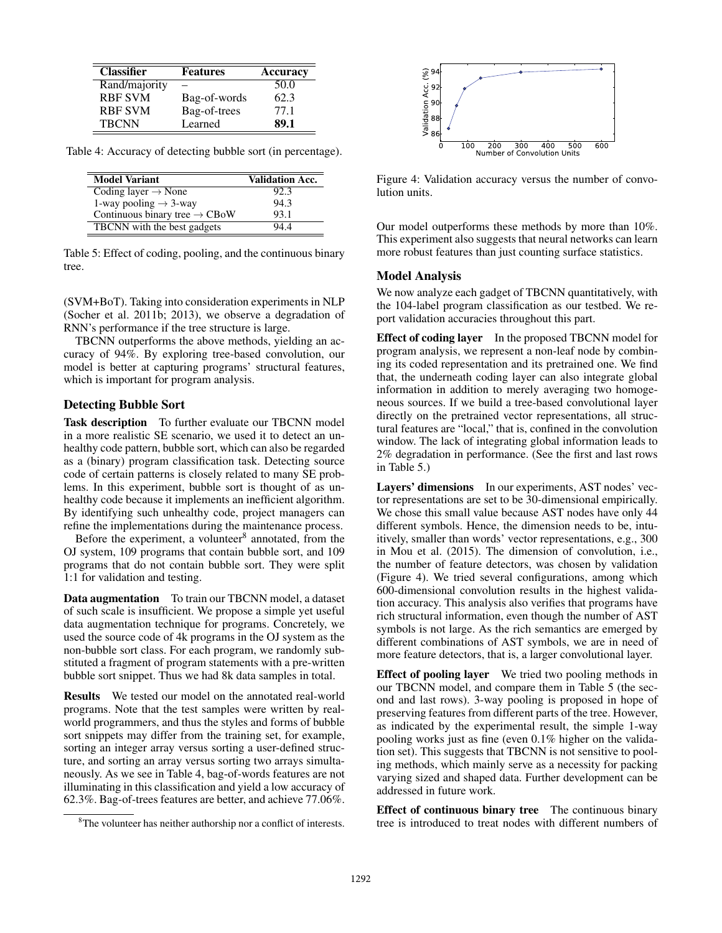| <b>Classifier</b> | <b>Features</b> | <b>Accuracy</b> |
|-------------------|-----------------|-----------------|
| Rand/majority     |                 | 50.0            |
| <b>RBF SVM</b>    | Bag-of-words    | 62.3            |
| <b>RBF SVM</b>    | Bag-of-trees    | 77.1            |
| <b>TBCNN</b>      | Learned         | 89.1            |

Table 4: Accuracy of detecting bubble sort (in percentage).

| <b>Model Variant</b>                      | <b>Validation Acc.</b> |
|-------------------------------------------|------------------------|
| Coding layer $\rightarrow$ None           | 92.3                   |
| 1-way pooling $\rightarrow$ 3-way         | 94.3                   |
| Continuous binary tree $\rightarrow$ CBoW | 93.1                   |
| TBCNN with the best gadgets               | 944                    |

Table 5: Effect of coding, pooling, and the continuous binary tree.

(SVM+BoT). Taking into consideration experiments in NLP (Socher et al. 2011b; 2013), we observe a degradation of RNN's performance if the tree structure is large.

TBCNN outperforms the above methods, yielding an accuracy of 94%. By exploring tree-based convolution, our model is better at capturing programs' structural features, which is important for program analysis.

# Detecting Bubble Sort

Task description To further evaluate our TBCNN model in a more realistic SE scenario, we used it to detect an unhealthy code pattern, bubble sort, which can also be regarded as a (binary) program classification task. Detecting source code of certain patterns is closely related to many SE problems. In this experiment, bubble sort is thought of as unhealthy code because it implements an inefficient algorithm. By identifying such unhealthy code, project managers can refine the implementations during the maintenance process.

Before the experiment, a volunteer $8$  annotated, from the OJ system, 109 programs that contain bubble sort, and 109 programs that do not contain bubble sort. They were split 1:1 for validation and testing.

Data augmentation To train our TBCNN model, a dataset of such scale is insufficient. We propose a simple yet useful data augmentation technique for programs. Concretely, we used the source code of 4k programs in the OJ system as the non-bubble sort class. For each program, we randomly substituted a fragment of program statements with a pre-written bubble sort snippet. Thus we had 8k data samples in total.

Results We tested our model on the annotated real-world programs. Note that the test samples were written by realworld programmers, and thus the styles and forms of bubble sort snippets may differ from the training set, for example, sorting an integer array versus sorting a user-defined structure, and sorting an array versus sorting two arrays simultaneously. As we see in Table 4, bag-of-words features are not illuminating in this classification and yield a low accuracy of 62.3%. Bag-of-trees features are better, and achieve 77.06%.



Figure 4: Validation accuracy versus the number of convolution units.

Our model outperforms these methods by more than 10%. This experiment also suggests that neural networks can learn more robust features than just counting surface statistics.

### Model Analysis

We now analyze each gadget of TBCNN quantitatively, with the 104-label program classification as our testbed. We report validation accuracies throughout this part.

Effect of coding layer In the proposed TBCNN model for program analysis, we represent a non-leaf node by combining its coded representation and its pretrained one. We find that, the underneath coding layer can also integrate global information in addition to merely averaging two homogeneous sources. If we build a tree-based convolutional layer directly on the pretrained vector representations, all structural features are "local," that is, confined in the convolution window. The lack of integrating global information leads to 2% degradation in performance. (See the first and last rows in Table 5.)

Layers' dimensions In our experiments, AST nodes' vector representations are set to be 30-dimensional empirically. We chose this small value because AST nodes have only 44 different symbols. Hence, the dimension needs to be, intuitively, smaller than words' vector representations, e.g., 300 in Mou et al. (2015). The dimension of convolution, i.e., the number of feature detectors, was chosen by validation (Figure 4). We tried several configurations, among which 600-dimensional convolution results in the highest validation accuracy. This analysis also verifies that programs have rich structural information, even though the number of AST symbols is not large. As the rich semantics are emerged by different combinations of AST symbols, we are in need of more feature detectors, that is, a larger convolutional layer.

Effect of pooling layer We tried two pooling methods in our TBCNN model, and compare them in Table 5 (the second and last rows). 3-way pooling is proposed in hope of preserving features from different parts of the tree. However, as indicated by the experimental result, the simple 1-way pooling works just as fine (even 0.1% higher on the validation set). This suggests that TBCNN is not sensitive to pooling methods, which mainly serve as a necessity for packing varying sized and shaped data. Further development can be addressed in future work.

Effect of continuous binary tree The continuous binary tree is introduced to treat nodes with different numbers of

<sup>&</sup>lt;sup>8</sup>The volunteer has neither authorship nor a conflict of interests.